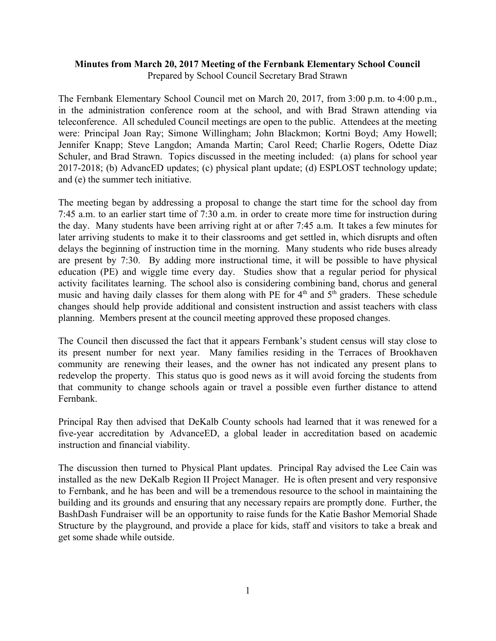## **Minutes from March 20, 2017 Meeting of the Fernbank Elementary School Council** Prepared by School Council Secretary Brad Strawn

The Fernbank Elementary School Council met on March 20, 2017, from 3:00 p.m. to 4:00 p.m., in the administration conference room at the school, and with Brad Strawn attending via teleconference. All scheduled Council meetings are open to the public. Attendees at the meeting were: Principal Joan Ray; Simone Willingham; John Blackmon; Kortni Boyd; Amy Howell; Jennifer Knapp; Steve Langdon; Amanda Martin; Carol Reed; Charlie Rogers, Odette Diaz Schuler, and Brad Strawn. Topics discussed in the meeting included: (a) plans for school year 2017-2018; (b) AdvancED updates; (c) physical plant update; (d) ESPLOST technology update; and (e) the summer tech initiative.

The meeting began by addressing a proposal to change the start time for the school day from 7:45 a.m. to an earlier start time of 7:30 a.m. in order to create more time for instruction during the day. Many students have been arriving right at or after 7:45 a.m. It takes a few minutes for later arriving students to make it to their classrooms and get settled in, which disrupts and often delays the beginning of instruction time in the morning. Many students who ride buses already are present by 7:30. By adding more instructional time, it will be possible to have physical education (PE) and wiggle time every day. Studies show that a regular period for physical activity facilitates learning. The school also is considering combining band, chorus and general music and having daily classes for them along with PE for  $4<sup>th</sup>$  and  $5<sup>th</sup>$  graders. These schedule changes should help provide additional and consistent instruction and assist teachers with class planning. Members present at the council meeting approved these proposed changes.

The Council then discussed the fact that it appears Fernbank's student census will stay close to its present number for next year. Many families residing in the Terraces of Brookhaven community are renewing their leases, and the owner has not indicated any present plans to redevelop the property. This status quo is good news as it will avoid forcing the students from that community to change schools again or travel a possible even further distance to attend Fernbank.

Principal Ray then advised that DeKalb County schools had learned that it was renewed for a five-year accreditation by AdvanceED, a global leader in accreditation based on academic instruction and financial viability.

The discussion then turned to Physical Plant updates. Principal Ray advised the Lee Cain was installed as the new DeKalb Region II Project Manager. He is often present and very responsive to Fernbank, and he has been and will be a tremendous resource to the school in maintaining the building and its grounds and ensuring that any necessary repairs are promptly done. Further, the BashDash Fundraiser will be an opportunity to raise funds for the Katie Bashor Memorial Shade Structure by the playground, and provide a place for kids, staff and visitors to take a break and get some shade while outside.